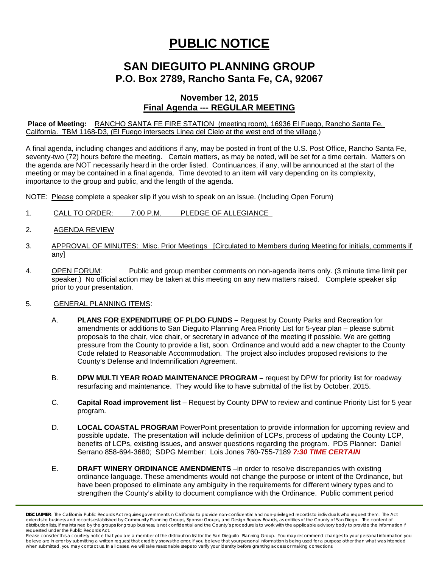# **PUBLIC NOTICE**

## **SAN DIEGUITO PLANNING GROUP P.O. Box 2789, Rancho Santa Fe, CA, 92067**

### **November 12, 2015 Final Agenda --- REGULAR MEETING**

#### **Place of Meeting:** RANCHO SANTA FE FIRE STATION (meeting room), 16936 El Fuego, Rancho Santa Fe, California. TBM 1168-D3, (El Fuego intersects Linea del Cielo at the west end of the village.)

A final agenda, including changes and additions if any, may be posted in front of the U.S. Post Office, Rancho Santa Fe, seventy-two (72) hours before the meeting. Certain matters, as may be noted, will be set for a time certain. Matters on the agenda are NOT necessarily heard in the order listed. Continuances, if any, will be announced at the start of the meeting or may be contained in a final agenda. Time devoted to an item will vary depending on its complexity, importance to the group and public, and the length of the agenda.

NOTE: Please complete a speaker slip if you wish to speak on an issue. (Including Open Forum)

- 1. CALL TO ORDER: 7:00 P.M. PLEDGE OF ALLEGIANCE
- 2. AGENDA REVIEW
- 3. APPROVAL OF MINUTES: Misc. Prior Meetings [Circulated to Members during Meeting for initials, comments if any]
- 4. OPEN FORUM: Public and group member comments on non-agenda items only. (3 minute time limit per speaker.) No official action may be taken at this meeting on any new matters raised. Complete speaker slip prior to your presentation.

#### 5. GENERAL PLANNING ITEMS:

- A. **PLANS FOR EXPENDITURE OF PLDO FUNDS** Request by County Parks and Recreation for amendments or additions to San Dieguito Planning Area Priority List for 5-year plan – please submit proposals to the chair, vice chair, or secretary in advance of the meeting if possible. We are getting pressure from the County to provide a list, soon. Ordinance and would add a new chapter to the County Code related to Reasonable Accommodation. The project also includes proposed revisions to the County's Defense and Indemnification Agreement.
- B. **DPW MULTI YEAR ROAD MAINTENANCE PROGRAM** request by DPW for priority list for roadway resurfacing and maintenance. They would like to have submittal of the list by October, 2015.
- C. **Capital Road improvement list**  Request by County DPW to review and continue Priority List for 5 year program.
- D. **LOCAL COASTAL PROGRAM** PowerPoint presentation to provide information for upcoming review and possible update. The presentation will include definition of LCPs, process of updating the County LCP, benefits of LCPs, existing issues, and answer questions regarding the program. PDS Planner: Daniel Serrano 858-694-3680; SDPG Member: Lois Jones 760-755-7189 *7:30 TIME CERTAIN*
- E. **DRAFT WINERY ORDINANCE AMENDMENTS** –in order to resolve discrepancies with existing ordinance language. These amendments would not change the purpose or intent of the Ordinance, but have been proposed to eliminate any ambiguity in the requirements for different winery types and to strengthen the County's ability to document compliance with the Ordinance. Public comment period

*DISCLAIMER; The California Public Records Act requires governments in California to provide non-confidential and non-privileged records to individuals who request them. The Act extends to business and records established by Community Planning Groups, Sponsor Groups, and Design Review Boards, as entities of the County of San Diego. The content of*  distribution lists, if maintained by the groups for group business, is not confidential and the County's procedure is to work with the applicable advisory body to provide the information if *requested under the Public Records Act.* 

*Please consider this a courtesy notice that you are a member of the distribution list for the San Dieguito Planning Group. You may recommend changes to your personal information you*  believe are in error by submitting a written request that credibly shows the error. If you believe that your personal information is being used for a purpose other than what was intended<br>when submitted, you may contact us.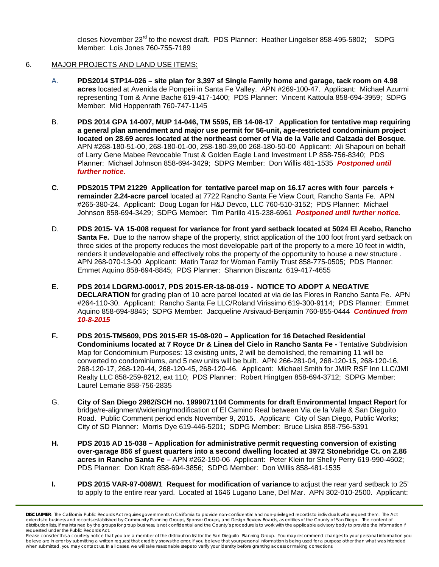closes November 23<sup>rd</sup> to the newest draft. PDS Planner: Heather Lingelser 858-495-5802; SDPG Member: Lois Jones 760-755-7189

#### 6. MAJOR PROJECTS AND LAND USE ITEMS:

- A. **PDS2014 STP14-026 site plan for 3,397 sf Single Family home and garage, tack room on 4.98 acres** located at Avenida de Pompeii in Santa Fe Valley. APN #269-100-47. Applicant: Michael Azurmi representing Tom & Anne Bache 619-417-1400; PDS Planner: Vincent Kattoula 858-694-3959; SDPG Member: Mid Hoppenrath 760-747-1145
- B. **PDS 2014 GPA 14-007, MUP 14-046, TM 5595, EB 14-08-17 Application for tentative map requiring a general plan amendment and major use permit for 56-unit, age-restricted condominium project located on 28.69 acres located at the northeast corner of Via de la Valle and Calzada del Bosque.**  APN #268-180-51-00, 268-180-01-00, 258-180-39,00 268-180-50-00 Applicant: Ali Shapouri on behalf of Larry Gene Mabee Revocable Trust & Golden Eagle Land Investment LP 858-756-8340; PDS Planner: Michael Johnson 858-694-3429; SDPG Member: Don Willis 481-1535 *Postponed until further notice.*
- **C. PDS2015 TPM 21229 Application for tentative parcel map on 16.17 acres with four parcels + remainder 2.24-acre parcel** located at 7722 Rancho Santa Fe View Court, Rancho Santa Fe. APN #265-380-24. Applicant: Doug Logan for H&J Devco, LLC 760-510-3152; PDS Planner: Michael Johnson 858-694-3429; SDPG Member: Tim Parillo 415-238-6961 *Postponed until further notice.*
- D. **PDS 2015- VA 15-008 request for variance for front yard setback located at 5024 El Acebo, Rancho Santa Fe.** Due to the narrow shape of the property, strict application of the 100 foot front yard setback on three sides of the property reduces the most developable part of the property to a mere 10 feet in width, renders it undevelopable and effectively robs the property of the opportunity to house a new structure . APN 268-070-13-00 Applicant: Matin Taraz for Woman Family Trust 858-775-0505; PDS Planner: Emmet Aquino 858-694-8845; PDS Planner: Shannon Biszantz 619-417-4655
- **E. PDS 2014 LDGRMJ-00017, PDS 2015-ER-18-08-019 NOTICE TO ADOPT A NEGATIVE DECLARATION** for grading plan of 10 acre parcel located at via de las Flores in Rancho Santa Fe. APN #264-110-30. Applicant: Rancho Santa Fe LLC/Roland Virissimo 619-300-9114; PDS Planner: Emmet Aquino 858-694-8845; SDPG Member: Jacqueline Arsivaud-Benjamin 760-855-0444 *Continued from 10-8-2015*
- **F. PDS 2015-TM5609, PDS 2015-ER 15-08-020 Application for 16 Detached Residential Condominiums located at 7 Royce Dr & Linea del Cielo in Rancho Santa Fe -** Tentative Subdivision Map for Condominium Purposes: 13 existing units, 2 will be demolished, the remaining 11 will be converted to condominiums, and 5 new units will be built. APN 266-281-04, 268-120-15, 268-120-16, 268-120-17, 268-120-44, 268-120-45, 268-120-46. Applicant: Michael Smith for JMIR RSF Inn LLC/JMI Realty LLC 858-259-8212, ext 110; PDS Planner: Robert Hingtgen 858-694-3712; SDPG Member: Laurel Lemarie 858-756-2835
- G. **City of San Diego 2982/SCH no. 1999071104 Comments for draft Environmental Impact Report** for bridge/re-alignment/widening/modification of El Camino Real between Via de la Valle & San Dieguito Road. Public Comment period ends November 9, 2015. Applicant: City of San Diego, Public Works; City of SD Planner: Morris Dye 619-446-5201; SDPG Member: Bruce Liska 858-756-5391
- **H. PDS 2015 AD 15-038 Application for administrative permit requesting conversion of existing over-garage 856 sf guest quarters into a second dwelling located at 3972 Stonebridge Ct. on 2.86 acres in Rancho Santa Fe –** APN #262-190-06 Applicant: Peter Klein for Shelly Perry 619-990-4602; PDS Planner: Don Kraft 858-694-3856; SDPG Member: Don Willis 858-481-1535
- **I. PDS 2015 VAR-97-008W1 Request for modification of variance** to adjust the rear yard setback to 25' to apply to the entire rear yard. Located at 1646 Lugano Lane, Del Mar. APN 302-010-2500. Applicant:

*DISCLAIMER; The California Public Records Act requires governments in California to provide non-confidential and non-privileged records to individuals who request them. The Act extends to business and records established by Community Planning Groups, Sponsor Groups, and Design Review Boards, as entities of the County of San Diego. The content of*  distribution lists, if maintained by the groups for group business, is not confidential and the County's procedure is to work with the applicable advisory body to provide the information if *requested under the Public Records Act.* 

*Please consider this a courtesy notice that you are a member of the distribution list for the San Dieguito Planning Group. You may recommend changes to your personal information you*  believe are in error by submitting a written request that credibly shows the error. If you believe that your personal information is being used for a purpose other than what was intended<br>when submitted, you may contact us.